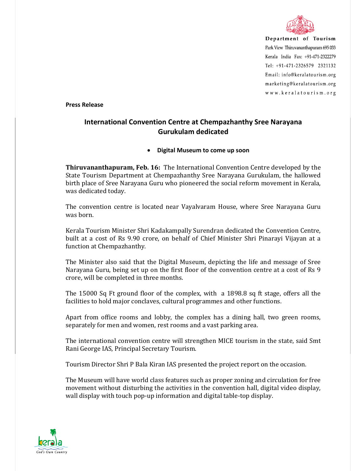

Department of Tourism Park View Thiruvananthapuram 695 033 Kerala India Fax: +91-471-2322279 Tel: +91-471-2326579 2321132 Email: info@keralatourism.org marketing@keralatourism.org www.keralatourism.org

**Press Release** 

## **International Convention Centre at Chempazhanthy Sree Narayana Gurukulam dedicated**

## **Digital Museum to come up soon**

**Thiruvananthapuram, Feb. 16:** The International Convention Centre developed by the State Tourism Department at Chempazhanthy Sree Narayana Gurukulam, the hallowed birth place of Sree Narayana Guru who pioneered the social reform movement in Kerala, was dedicated today.

The convention centre is located near Vayalvaram House, where Sree Narayana Guru was born.

Kerala Tourism Minister Shri Kadakampally Surendran dedicated the Convention Centre, built at a cost of Rs 9.90 crore, on behalf of Chief Minister Shri Pinarayi Vijayan at a function at Chempazhanthy.

The Minister also said that the Digital Museum, depicting the life and message of Sree Narayana Guru, being set up on the first floor of the convention centre at a cost of Rs 9 crore, will be completed in three months.

The 15000 Sq Ft ground floor of the complex, with a 1898.8 sq ft stage, offers all the facilities to hold major conclaves, cultural programmes and other functions.

Apart from office rooms and lobby, the complex has a dining hall, two green rooms, separately for men and women, rest rooms and a vast parking area.

The international convention centre will strengthen MICE tourism in the state, said Smt Rani George IAS, Principal Secretary Tourism.

Tourism Director Shri P Bala Kiran IAS presented the project report on the occasion.

The Museum will have world class features such as proper zoning and circulation for free movement without disturbing the activities in the convention hall, digital video display, wall display with touch pop-up information and digital table-top display.